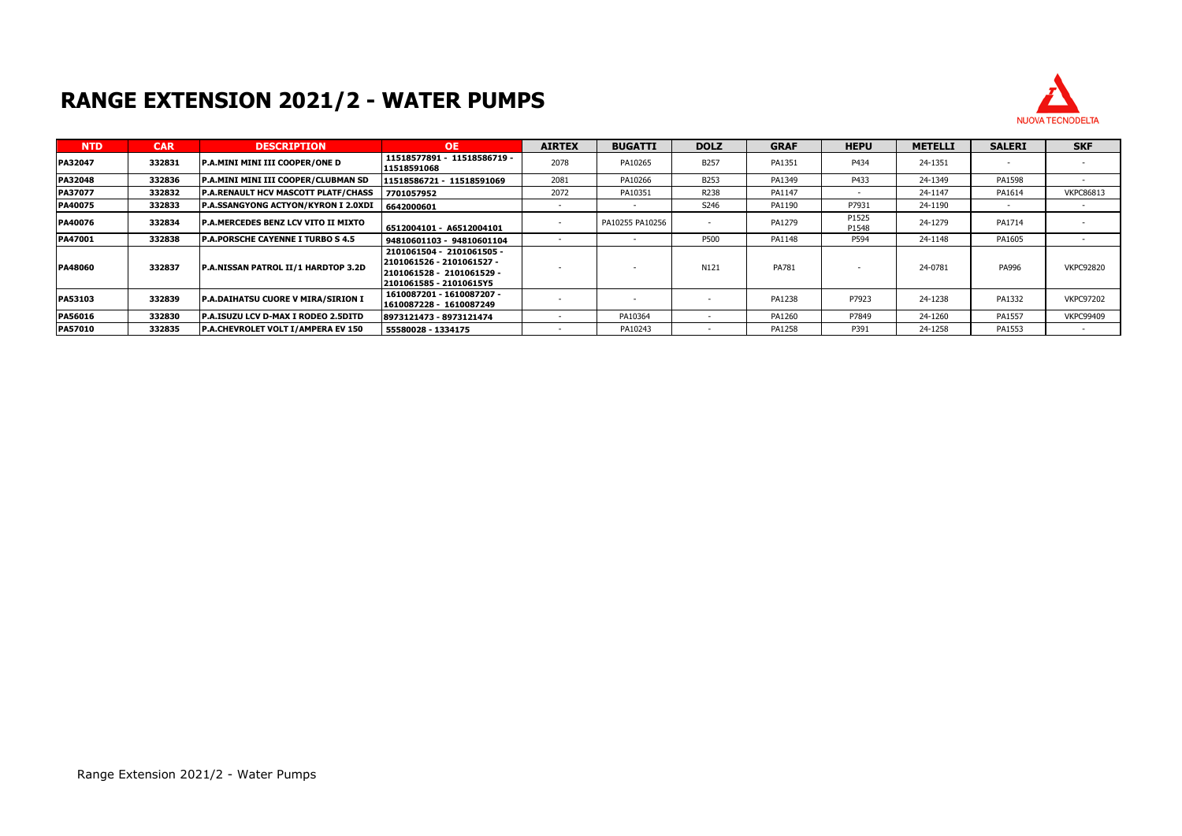## **RANGE EXTENSION 2021/2 - WATER PUMPS**



| <b>NTD</b>     | <b>CAR</b> | <b>DESCRIPTION</b>                          | <b>OE</b>                                                                                                      | <b>AIRTEX</b> | <b>BUGATTI</b>  | <b>DOLZ</b> | <b>GRAF</b> | <b>HEPU</b>    | <b>METELLI</b> | <b>SALERI</b> | <b>SKF</b>       |
|----------------|------------|---------------------------------------------|----------------------------------------------------------------------------------------------------------------|---------------|-----------------|-------------|-------------|----------------|----------------|---------------|------------------|
| <b>PA32047</b> | 332831     | <b>P.A.MINI MINI III COOPER/ONE D</b>       | 11518577891 - 11518586719 -<br>11518591068                                                                     | 2078          | PA10265         | B257        | PA1351      | P434           | 24-1351        |               |                  |
| <b>PA32048</b> | 332836     | P.A.MINI MINI III COOPER/CLUBMAN SD         | 11518586721 - 11518591069                                                                                      | 2081          | PA10266         | B253        | PA1349      | P433           | 24-1349        | PA1598        |                  |
| <b>PA37077</b> | 332832     | <b>P.A.RENAULT HCV MASCOTT PLATF/CHASS</b>  | 7701057952                                                                                                     | 2072          | PA10351         | R238        | PA1147      |                | 24-1147        | PA1614        | <b>VKPC86813</b> |
| PA40075        | 332833     | P.A.SSANGYONG ACTYON/KYRON I 2.0XDI         | 6642000601                                                                                                     |               |                 | S246        | PA1190      | P7931          | 24-1190        |               |                  |
| <b>PA40076</b> | 332834     | <b>IP.A.MERCEDES BENZ LCV VITO II MIXTO</b> | 6512004101 - A6512004101                                                                                       |               | PA10255 PA10256 |             | PA1279      | P1525<br>P1548 | 24-1279        | PA1714        |                  |
| PA47001        | 332838     | <b>P.A.PORSCHE CAYENNE I TURBO S 4.5</b>    | 94810601103 - 94810601104                                                                                      |               |                 | P500        | PA1148      | P594           | 24-1148        | PA1605        |                  |
| <b>PA48060</b> | 332837     | <b>P.A.NISSAN PATROL II/1 HARDTOP 3.2D</b>  | 2101061504 - 2101061505 -<br>2101061526 - 2101061527 -<br>2101061528 - 2101061529 -<br>2101061585 - 21010615Y5 |               |                 | N121        | PA781       |                | 24-0781        | PA996         | <b>VKPC92820</b> |
| <b>PA53103</b> | 332839     | <b>P.A.DAIHATSU CUORE V MIRA/SIRION I</b>   | 1610087201 - 1610087207 -<br>1610087228 - 1610087249                                                           |               |                 |             | PA1238      | P7923          | 24-1238        | PA1332        | <b>VKPC97202</b> |
| PA56016        | 332830     | <b>P.A.ISUZU LCV D-MAX I RODEO 2.5DITD</b>  | 8973121473 - 8973121474                                                                                        |               | PA10364         |             | PA1260      | P7849          | 24-1260        | PA1557        | <b>VKPC99409</b> |
| <b>PA57010</b> | 332835     | P.A.CHEVROLET VOLT I/AMPERA EV 150          | 55580028 - 1334175                                                                                             |               | PA10243         |             | PA1258      | P391           | 24-1258        | PA1553        |                  |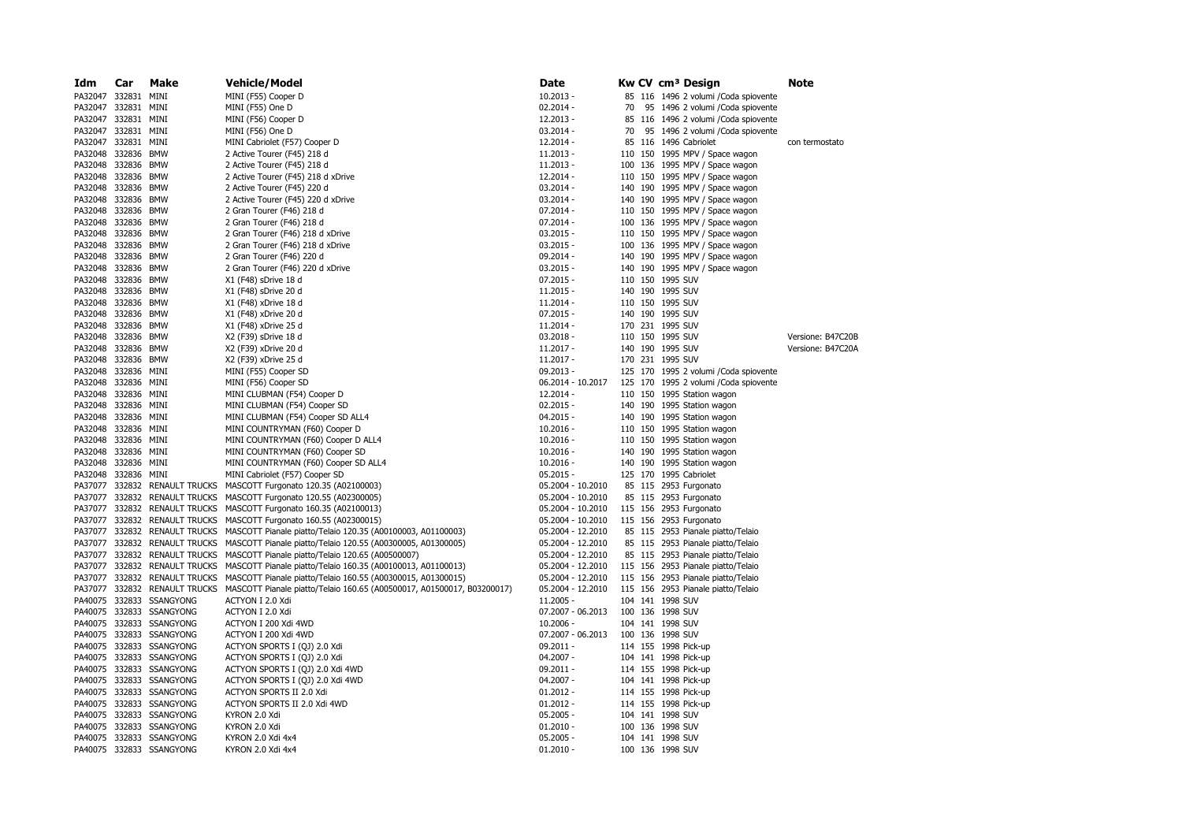| Idm                 | Car | Make                          | Vehicle/Model                                                                                        | Date              |         |  | Kw CV cm <sup>3</sup> Design           | Note              |
|---------------------|-----|-------------------------------|------------------------------------------------------------------------------------------------------|-------------------|---------|--|----------------------------------------|-------------------|
| PA32047 332831      |     | MINI                          | MINI (F55) Cooper D                                                                                  | $10.2013 -$       |         |  | 85 116 1496 2 volumi / Coda spiovente  |                   |
| PA32047 332831      |     | MINI                          | MINI (F55) One D                                                                                     | $02.2014 -$       | 70      |  | 95 1496 2 volumi / Coda spiovente      |                   |
| PA32047 332831      |     | MINI                          | MINI (F56) Cooper D                                                                                  | $12.2013 -$       |         |  | 85 116 1496 2 volumi / Coda spiovente  |                   |
| PA32047 332831      |     | MINI                          | MINI (F56) One D                                                                                     | $03.2014 -$       | 70      |  | 95 1496 2 volumi / Coda spiovente      |                   |
| PA32047 332831      |     | MINI                          | MINI Cabriolet (F57) Cooper D                                                                        | $12.2014 -$       |         |  | 85 116 1496 Cabriolet                  | con termostato    |
| PA32048 332836      |     | <b>BMW</b>                    | 2 Active Tourer (F45) 218 d                                                                          | $11.2013 -$       |         |  | 110 150 1995 MPV / Space wagon         |                   |
| PA32048 332836      |     | <b>BMW</b>                    | 2 Active Tourer (F45) 218 d                                                                          | $11.2013 -$       |         |  | 100 136 1995 MPV / Space wagon         |                   |
| PA32048 332836      |     | <b>BMW</b>                    | 2 Active Tourer (F45) 218 d xDrive                                                                   | $12.2014 -$       |         |  | 110 150 1995 MPV / Space wagon         |                   |
| PA32048 332836      |     | <b>BMW</b>                    |                                                                                                      |                   |         |  |                                        |                   |
|                     |     |                               | 2 Active Tourer (F45) 220 d                                                                          | $03.2014 -$       |         |  | 140 190 1995 MPV / Space wagon         |                   |
| PA32048 332836      |     | BMW                           | 2 Active Tourer (F45) 220 d xDrive                                                                   | $03.2014 -$       |         |  | 140 190 1995 MPV / Space wagon         |                   |
| PA32048 332836      |     | <b>BMW</b>                    | 2 Gran Tourer (F46) 218 d                                                                            | 07.2014 -         |         |  | 110 150 1995 MPV / Space wagon         |                   |
| PA32048 332836      |     | <b>BMW</b>                    | 2 Gran Tourer (F46) 218 d                                                                            | $07.2014 -$       |         |  | 100 136 1995 MPV / Space wagon         |                   |
| PA32048 332836      |     | BMW                           | 2 Gran Tourer (F46) 218 d xDrive                                                                     | $03.2015 -$       |         |  | 110 150 1995 MPV / Space wagon         |                   |
| PA32048 332836 BMW  |     |                               | 2 Gran Tourer (F46) 218 d xDrive                                                                     | $03.2015 -$       |         |  | 100 136 1995 MPV / Space wagon         |                   |
| PA32048 332836      |     | <b>BMW</b>                    | 2 Gran Tourer (F46) 220 d                                                                            | 09.2014 -         |         |  | 140 190 1995 MPV / Space wagon         |                   |
| PA32048 332836      |     | <b>BMW</b>                    | 2 Gran Tourer (F46) 220 d xDrive                                                                     | $03.2015 -$       |         |  | 140 190 1995 MPV / Space wagon         |                   |
| PA32048 332836 BMW  |     |                               | X1 (F48) sDrive 18 d                                                                                 | $07.2015 -$       |         |  | 110 150 1995 SUV                       |                   |
| PA32048 332836 BMW  |     |                               | X1 (F48) sDrive 20 d                                                                                 | $11.2015 -$       |         |  | 140 190 1995 SUV                       |                   |
| PA32048 332836 BMW  |     |                               | X1 (F48) xDrive 18 d                                                                                 | $11.2014 -$       |         |  | 110 150 1995 SUV                       |                   |
| PA32048 332836 BMW  |     |                               | X1 (F48) xDrive 20 d                                                                                 | $07.2015 -$       |         |  | 140 190 1995 SUV                       |                   |
| PA32048 332836      |     | BMW                           | X1 (F48) xDrive 25 d                                                                                 | 11.2014 -         |         |  | 170 231 1995 SUV                       |                   |
| PA32048 332836      |     | BMW                           | X2 (F39) sDrive 18 d                                                                                 | $03.2018 -$       |         |  | 110 150 1995 SUV                       | Versione: B47C20B |
| PA32048 332836      |     | <b>BMW</b>                    | X2 (F39) xDrive 20 d                                                                                 | $11.2017 -$       |         |  | 140 190 1995 SUV                       | Versione: B47C20A |
| PA32048 332836      |     | BMW                           | X2 (F39) xDrive 25 d                                                                                 | $11.2017 -$       |         |  | 170 231 1995 SUV                       |                   |
| PA32048 332836 MINI |     |                               | MINI (F55) Cooper SD                                                                                 | 09.2013 -         |         |  | 125 170 1995 2 volumi / Coda spiovente |                   |
| PA32048 332836      |     | MINI                          | MINI (F56) Cooper SD                                                                                 | 06.2014 - 10.2017 |         |  | 125 170 1995 2 volumi / Coda spiovente |                   |
| PA32048 332836      |     | MINI                          | MINI CLUBMAN (F54) Cooper D                                                                          | 12.2014 -         |         |  | 110 150 1995 Station wagon             |                   |
| PA32048 332836 MINI |     |                               | MINI CLUBMAN (F54) Cooper SD                                                                         | $02.2015 -$       |         |  | 140 190 1995 Station wagon             |                   |
|                     |     |                               |                                                                                                      |                   |         |  |                                        |                   |
| PA32048 332836 MINI |     |                               | MINI CLUBMAN (F54) Cooper SD ALL4                                                                    | $04.2015 -$       |         |  | 140 190 1995 Station wagon             |                   |
| PA32048 332836 MINI |     |                               | MINI COUNTRYMAN (F60) Cooper D                                                                       | $10.2016 -$       |         |  | 110 150 1995 Station wagon             |                   |
| PA32048 332836      |     | MINI                          | MINI COUNTRYMAN (F60) Cooper D ALL4                                                                  | $10.2016 -$       |         |  | 110 150 1995 Station wagon             |                   |
| PA32048 332836 MINI |     |                               | MINI COUNTRYMAN (F60) Cooper SD                                                                      | $10.2016 -$       |         |  | 140 190 1995 Station wagon             |                   |
| PA32048 332836 MINI |     |                               | MINI COUNTRYMAN (F60) Cooper SD ALL4                                                                 | $10.2016 -$       |         |  | 140 190 1995 Station wagon             |                   |
| PA32048 332836 MINI |     |                               | MINI Cabriolet (F57) Cooper SD                                                                       | $05.2015 -$       |         |  | 125 170 1995 Cabriolet                 |                   |
|                     |     | PA37077 332832 RENAULT TRUCKS | MASCOTT Furgonato 120.35 (A02100003)                                                                 | 05.2004 - 10.2010 |         |  | 85 115 2953 Furgonato                  |                   |
|                     |     |                               | PA37077 332832 RENAULT TRUCKS MASCOTT Furgonato 120.55 (A02300005)                                   | 05.2004 - 10.2010 |         |  | 85 115 2953 Furgonato                  |                   |
|                     |     |                               | PA37077 332832 RENAULT TRUCKS MASCOTT Furgonato 160.35 (A02100013)                                   | 05.2004 - 10.2010 |         |  | 115 156 2953 Furgonato                 |                   |
| PA37077 332832      |     |                               | RENAULT TRUCKS MASCOTT Furgonato 160.55 (A02300015)                                                  | 05.2004 - 10.2010 | 115 156 |  | 2953 Furgonato                         |                   |
|                     |     |                               | PA37077 332832 RENAULT TRUCKS MASCOTT Pianale piatto/Telaio 120.35 (A00100003, A01100003)            | 05.2004 - 12.2010 |         |  | 85 115 2953 Pianale piatto/Telaio      |                   |
|                     |     |                               | PA37077 332832 RENAULT TRUCKS MASCOTT Pianale piatto/Telaio 120.55 (A00300005, A01300005)            | 05.2004 - 12.2010 |         |  | 85 115 2953 Pianale piatto/Telaio      |                   |
|                     |     |                               | PA37077 332832 RENAULT TRUCKS MASCOTT Pianale piatto/Telaio 120.65 (A00500007)                       | 05.2004 - 12.2010 |         |  | 85 115 2953 Pianale piatto/Telaio      |                   |
|                     |     | PA37077 332832 RENAULT TRUCKS | MASCOTT Pianale piatto/Telaio 160.35 (A00100013, A01100013)                                          | 05.2004 - 12.2010 |         |  | 115 156 2953 Pianale piatto/Telaio     |                   |
|                     |     |                               | PA37077 332832 RENAULT TRUCKS MASCOTT Pianale piatto/Telaio 160.55 (A00300015, A01300015)            | 05.2004 - 12.2010 |         |  | 115 156 2953 Pianale piatto/Telaio     |                   |
|                     |     |                               | PA37077 332832 RENAULT TRUCKS MASCOTT Pianale piatto/Telaio 160.65 (A00500017, A01500017, B03200017) | 05.2004 - 12.2010 |         |  | 115 156 2953 Pianale piatto/Telaio     |                   |
|                     |     | PA40075 332833 SSANGYONG      | ACTYON I 2.0 Xdi                                                                                     | $11.2005 -$       |         |  | 104 141 1998 SUV                       |                   |
|                     |     | PA40075 332833 SSANGYONG      | ACTYON I 2.0 Xdi                                                                                     | 07.2007 - 06.2013 |         |  | 100 136 1998 SUV                       |                   |
|                     |     | PA40075 332833 SSANGYONG      | ACTYON I 200 Xdi 4WD                                                                                 | $10.2006 -$       |         |  | 104 141 1998 SUV                       |                   |
|                     |     | PA40075 332833 SSANGYONG      | ACTYON I 200 Xdi 4WD                                                                                 | 07.2007 - 06.2013 |         |  | 100 136 1998 SUV                       |                   |
|                     |     | PA40075 332833 SSANGYONG      | ACTYON SPORTS I (QJ) 2.0 Xdi                                                                         | 09.2011 -         |         |  | 114 155 1998 Pick-up                   |                   |
|                     |     | PA40075 332833 SSANGYONG      | ACTYON SPORTS I (QJ) 2.0 Xdi                                                                         | $04.2007 -$       |         |  | 104 141 1998 Pick-up                   |                   |
|                     |     | PA40075 332833 SSANGYONG      | ACTYON SPORTS I (QJ) 2.0 Xdi 4WD                                                                     | 09.2011 -         |         |  | 114 155 1998 Pick-up                   |                   |
|                     |     | PA40075 332833 SSANGYONG      |                                                                                                      |                   |         |  |                                        |                   |
|                     |     |                               | ACTYON SPORTS I (QJ) 2.0 Xdi 4WD                                                                     | $04.2007 -$       |         |  | 104 141 1998 Pick-up                   |                   |
|                     |     | PA40075 332833 SSANGYONG      | ACTYON SPORTS II 2.0 Xdi                                                                             | $01.2012 -$       |         |  | 114 155 1998 Pick-up                   |                   |
|                     |     | PA40075 332833 SSANGYONG      | ACTYON SPORTS II 2.0 Xdi 4WD                                                                         | $01.2012 -$       |         |  | 114 155 1998 Pick-up                   |                   |
|                     |     | PA40075 332833 SSANGYONG      | KYRON 2.0 Xdi                                                                                        | 05.2005 -         |         |  | 104 141 1998 SUV                       |                   |
|                     |     | PA40075 332833 SSANGYONG      | KYRON 2.0 Xdi                                                                                        | $01.2010 -$       |         |  | 100 136 1998 SUV                       |                   |
|                     |     | PA40075 332833 SSANGYONG      | KYRON 2.0 Xdi 4x4                                                                                    | $05.2005 -$       |         |  | 104 141 1998 SUV                       |                   |
|                     |     | PA40075 332833 SSANGYONG      | KYRON 2.0 Xdi 4x4                                                                                    | $01.2010 -$       |         |  | 100 136 1998 SUV                       |                   |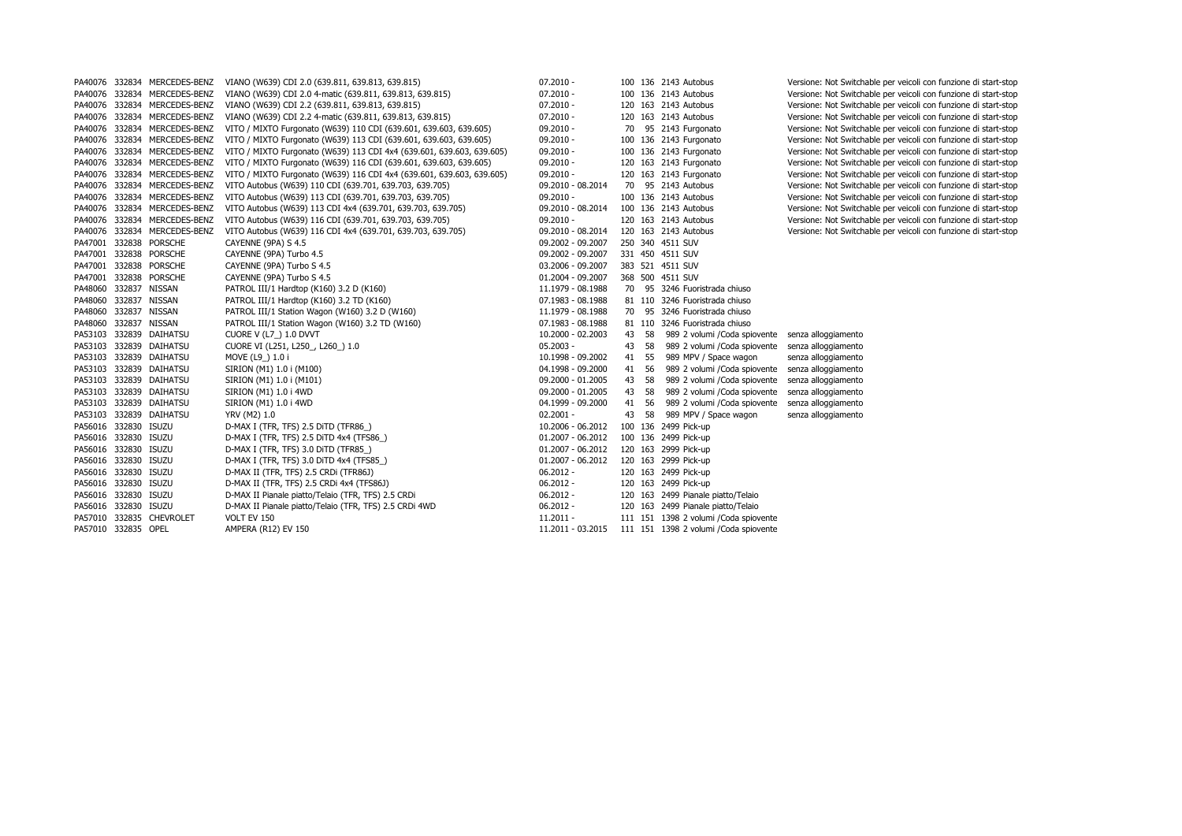|  | PA40076 332834 MERCEDES-BENZ |                                           | VIANO (W639) CDI 2.0 (639.811, 639.813, 639.815)                      | $07.2010 -$         |       | 100 136 2143 Autobus                   | Versione: Not Switchable per veicoli con funzione di start-stop |
|--|------------------------------|-------------------------------------------|-----------------------------------------------------------------------|---------------------|-------|----------------------------------------|-----------------------------------------------------------------|
|  | PA40076 332834 MERCEDES-BENZ |                                           | VIANO (W639) CDI 2.0 4-matic (639.811, 639.813, 639.815)              | $07.2010 -$         |       | 100 136 2143 Autobus                   | Versione: Not Switchable per veicoli con funzione di start-stop |
|  | PA40076 332834 MERCEDES-BENZ |                                           | VIANO (W639) CDI 2.2 (639.811, 639.813, 639.815)                      | $07.2010 -$         |       | 120 163 2143 Autobus                   | Versione: Not Switchable per veicoli con funzione di start-stop |
|  | PA40076 332834 MERCEDES-BENZ |                                           | VIANO (W639) CDI 2.2 4-matic (639.811, 639.813, 639.815)              | $07.2010 -$         |       | 120 163 2143 Autobus                   | Versione: Not Switchable per veicoli con funzione di start-stop |
|  | PA40076 332834 MERCEDES-BENZ |                                           | VITO / MIXTO Furgonato (W639) 110 CDI (639.601, 639.603, 639.605)     | $09.2010 -$         |       | 70 95 2143 Furgonato                   | Versione: Not Switchable per veicoli con funzione di start-stop |
|  | PA40076 332834 MERCEDES-BENZ |                                           | VITO / MIXTO Furgonato (W639) 113 CDI (639.601, 639.603, 639.605)     | $09.2010 -$         |       | 100 136 2143 Furgonato                 | Versione: Not Switchable per veicoli con funzione di start-stop |
|  | PA40076 332834 MERCEDES-BENZ |                                           | VITO / MIXTO Furgonato (W639) 113 CDI 4x4 (639.601, 639.603, 639.605) | $09.2010 -$         |       | 100 136 2143 Furgonato                 | Versione: Not Switchable per veicoli con funzione di start-stop |
|  | PA40076 332834 MERCEDES-BENZ |                                           | VITO / MIXTO Furgonato (W639) 116 CDI (639.601, 639.603, 639.605)     | $09.2010 -$         |       | 120 163 2143 Furgonato                 | Versione: Not Switchable per veicoli con funzione di start-stop |
|  | PA40076 332834 MERCEDES-BENZ |                                           | VITO / MIXTO Furgonato (W639) 116 CDI 4x4 (639.601, 639.603, 639.605) | $09.2010 -$         |       | 120 163 2143 Furgonato                 | Versione: Not Switchable per veicoli con funzione di start-stop |
|  | PA40076 332834 MERCEDES-BENZ |                                           | VITO Autobus (W639) 110 CDI (639.701, 639.703, 639.705)               | 09.2010 - 08.2014   |       | 70 95 2143 Autobus                     | Versione: Not Switchable per veicoli con funzione di start-stop |
|  | PA40076 332834 MERCEDES-BENZ |                                           | VITO Autobus (W639) 113 CDI (639.701, 639.703, 639.705)               | $09.2010 -$         |       | 100 136 2143 Autobus                   | Versione: Not Switchable per veicoli con funzione di start-stop |
|  | PA40076 332834 MERCEDES-BENZ |                                           | VITO Autobus (W639) 113 CDI 4x4 (639.701, 639.703, 639.705)           | 09.2010 - 08.2014   |       | 100 136 2143 Autobus                   | Versione: Not Switchable per veicoli con funzione di start-stop |
|  | PA40076 332834 MERCEDES-BENZ |                                           | VITO Autobus (W639) 116 CDI (639.701, 639.703, 639.705)               | $09.2010 -$         |       | 120 163 2143 Autobus                   | Versione: Not Switchable per veicoli con funzione di start-stop |
|  | PA40076 332834 MERCEDES-BENZ |                                           | VITO Autobus (W639) 116 CDI 4x4 (639.701, 639.703, 639.705)           | 09.2010 - 08.2014   |       | 120 163 2143 Autobus                   | Versione: Not Switchable per veicoli con funzione di start-stop |
|  | PA47001 332838 PORSCHE       | CAYENNE (9PA) S 4.5                       |                                                                       | 09.2002 - 09.2007   |       | 250 340 4511 SUV                       |                                                                 |
|  | PA47001 332838 PORSCHE       | CAYENNE (9PA) Turbo 4.5                   |                                                                       | 09.2002 - 09.2007   |       | 331 450 4511 SUV                       |                                                                 |
|  | PA47001 332838 PORSCHE       | CAYENNE (9PA) Turbo S 4.5                 |                                                                       | 03.2006 - 09.2007   |       | 383 521 4511 SUV                       |                                                                 |
|  | PA47001 332838 PORSCHE       | CAYENNE (9PA) Turbo S 4.5                 |                                                                       | 01.2004 - 09.2007   |       | 368 500 4511 SUV                       |                                                                 |
|  | PA48060 332837 NISSAN        | PATROL III/1 Hardtop (K160) 3.2 D (K160)  |                                                                       | 11.1979 - 08.1988   |       | 70 95 3246 Fuoristrada chiuso          |                                                                 |
|  | PA48060 332837 NISSAN        | PATROL III/1 Hardtop (K160) 3.2 TD (K160) |                                                                       | 07.1983 - 08.1988   |       | 81 110 3246 Fuoristrada chiuso         |                                                                 |
|  | PA48060 332837 NISSAN        |                                           | PATROL III/1 Station Wagon (W160) 3.2 D (W160)                        | 11.1979 - 08.1988   |       | 70 95 3246 Fuoristrada chiuso          |                                                                 |
|  | PA48060 332837 NISSAN        |                                           | PATROL III/1 Station Wagon (W160) 3.2 TD (W160)                       | 07.1983 - 08.1988   |       | 81 110 3246 Fuoristrada chiuso         |                                                                 |
|  | PA53103 332839 DAIHATSU      | CUORE V (L7) 1.0 DVVT                     |                                                                       | 10.2000 - 02.2003   | 43 58 | 989 2 volumi / Coda spiovente          | senza alloggiamento                                             |
|  | PA53103 332839 DAIHATSU      | CUORE VI (L251, L250_, L260_) 1.0         |                                                                       | $05.2003 -$         | 43 58 | 989 2 volumi / Coda spiovente          | senza alloggiamento                                             |
|  | PA53103 332839 DAIHATSU      | MOVE (L9_) 1.0 i                          |                                                                       | 10.1998 - 09.2002   | 41 55 | 989 MPV / Space wagon                  | senza alloggiamento                                             |
|  | PA53103 332839 DAIHATSU      | SIRION (M1) 1.0 i (M100)                  |                                                                       | 04.1998 - 09.2000   | 41 56 | 989 2 volumi / Coda spiovente          | senza alloggiamento                                             |
|  | PA53103 332839 DAIHATSU      | SIRION (M1) 1.0 i (M101)                  |                                                                       | 09.2000 - 01.2005   | 43 58 | 989 2 volumi /Coda spiovente           | senza alloggiamento                                             |
|  | PA53103 332839 DAIHATSU      | SIRION (M1) 1.0 i 4WD                     |                                                                       | 09.2000 - 01.2005   | 43 58 | 989 2 volumi / Coda spiovente          | senza alloggiamento                                             |
|  | PA53103 332839 DAIHATSU      | SIRION (M1) 1.0 i 4WD                     |                                                                       | 04.1999 - 09.2000   | 41 56 | 989 2 volumi /Coda spiovente           | senza alloggiamento                                             |
|  | PA53103 332839 DAIHATSU      | YRV (M2) 1.0                              |                                                                       | $02.2001 -$         |       | 43 58 989 MPV / Space wagon            | senza alloggiamento                                             |
|  | PA56016 332830 ISUZU         | D-MAX I (TFR, TFS) 2.5 DITD (TFR86)       |                                                                       | 10.2006 - 06.2012   |       | 100 136 2499 Pick-up                   |                                                                 |
|  | PA56016 332830 ISUZU         | D-MAX I (TFR, TFS) 2.5 DITD 4x4 (TFS86)   |                                                                       | $01.2007 - 06.2012$ |       | 100 136 2499 Pick-up                   |                                                                 |
|  | PA56016 332830 ISUZU         | D-MAX I (TFR, TFS) 3.0 DITD (TFR85_)      |                                                                       | $01.2007 - 06.2012$ |       | 120 163 2999 Pick-up                   |                                                                 |
|  | PA56016 332830 ISUZU         | D-MAX I (TFR, TFS) 3.0 DITD 4x4 (TFS85_)  |                                                                       | $01.2007 - 06.2012$ |       | 120 163 2999 Pick-up                   |                                                                 |
|  | PA56016 332830 ISUZU         | D-MAX II (TFR, TFS) 2.5 CRDi (TFR86J)     |                                                                       | $06.2012 -$         |       | 120 163 2499 Pick-up                   |                                                                 |
|  | PA56016 332830 ISUZU         | D-MAX II (TFR, TFS) 2.5 CRDi 4x4 (TFS86J) |                                                                       | $06.2012 -$         |       | 120 163 2499 Pick-up                   |                                                                 |
|  | PA56016 332830 ISUZU         |                                           | D-MAX II Pianale piatto/Telaio (TFR, TFS) 2.5 CRDi                    | $06.2012 -$         |       | 120 163 2499 Pianale piatto/Telaio     |                                                                 |
|  | PA56016 332830 ISUZU         |                                           | D-MAX II Pianale piatto/Telaio (TFR, TFS) 2.5 CRDi 4WD                | $06.2012 -$         |       | 120 163 2499 Pianale piatto/Telaio     |                                                                 |
|  | PA57010 332835 CHEVROLET     | VOLT EV 150                               |                                                                       | $11.2011 -$         |       | 111 151 1398 2 volumi / Coda spiovente |                                                                 |
|  | PA57010 332835 OPEL          | AMPERA (R12) EV 150                       |                                                                       | 11.2011 - 03.2015   |       | 111 151 1398 2 volumi / Coda spiovente |                                                                 |
|  |                              |                                           |                                                                       |                     |       |                                        |                                                                 |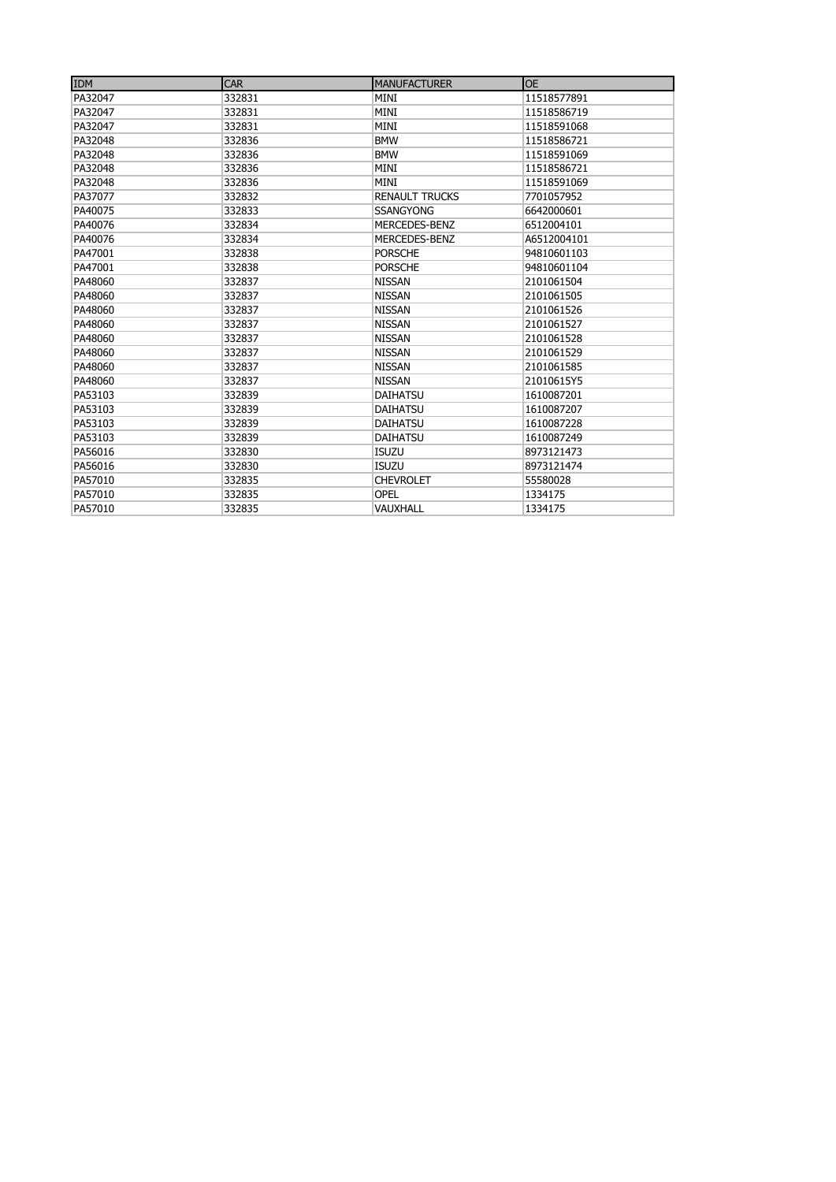| <b>IDM</b> | <b>CAR</b> | <b>MANUFACTURER</b>   | <b>OE</b>   |
|------------|------------|-----------------------|-------------|
| PA32047    | 332831     | MINI                  | 11518577891 |
| PA32047    | 332831     | MINI                  | 11518586719 |
| PA32047    | 332831     | MINI                  | 11518591068 |
| PA32048    | 332836     | <b>BMW</b>            | 11518586721 |
| PA32048    | 332836     | <b>BMW</b>            | 11518591069 |
| PA32048    | 332836     | <b>MINI</b>           | 11518586721 |
| PA32048    | 332836     | MINI                  | 11518591069 |
| PA37077    | 332832     | <b>RENAULT TRUCKS</b> | 7701057952  |
| PA40075    | 332833     | <b>SSANGYONG</b>      | 6642000601  |
| PA40076    | 332834     | MERCEDES-BENZ         | 6512004101  |
| PA40076    | 332834     | MERCEDES-BENZ         | A6512004101 |
| PA47001    | 332838     | <b>PORSCHE</b>        | 94810601103 |
| PA47001    | 332838     | <b>PORSCHE</b>        | 94810601104 |
| PA48060    | 332837     | <b>NISSAN</b>         | 2101061504  |
| PA48060    | 332837     | <b>NISSAN</b>         | 2101061505  |
| PA48060    | 332837     | <b>NISSAN</b>         | 2101061526  |
| PA48060    | 332837     | <b>NISSAN</b>         | 2101061527  |
| PA48060    | 332837     | <b>NISSAN</b>         | 2101061528  |
| PA48060    | 332837     | <b>NISSAN</b>         | 2101061529  |
| PA48060    | 332837     | <b>NISSAN</b>         | 2101061585  |
| PA48060    | 332837     | <b>NISSAN</b>         | 21010615Y5  |
| PA53103    | 332839     | <b>DAIHATSU</b>       | 1610087201  |
| PA53103    | 332839     | <b>DAIHATSU</b>       | 1610087207  |
| PA53103    | 332839     | <b>DAIHATSU</b>       | 1610087228  |
| PA53103    | 332839     | <b>DAIHATSU</b>       | 1610087249  |
| PA56016    | 332830     | <b>ISUZU</b>          | 8973121473  |
| PA56016    | 332830     | <b>ISUZU</b>          | 8973121474  |
| PA57010    | 332835     | <b>CHEVROLET</b>      | 55580028    |
| PA57010    | 332835     | <b>OPEL</b>           | 1334175     |
| PA57010    | 332835     | VAUXHALL              | 1334175     |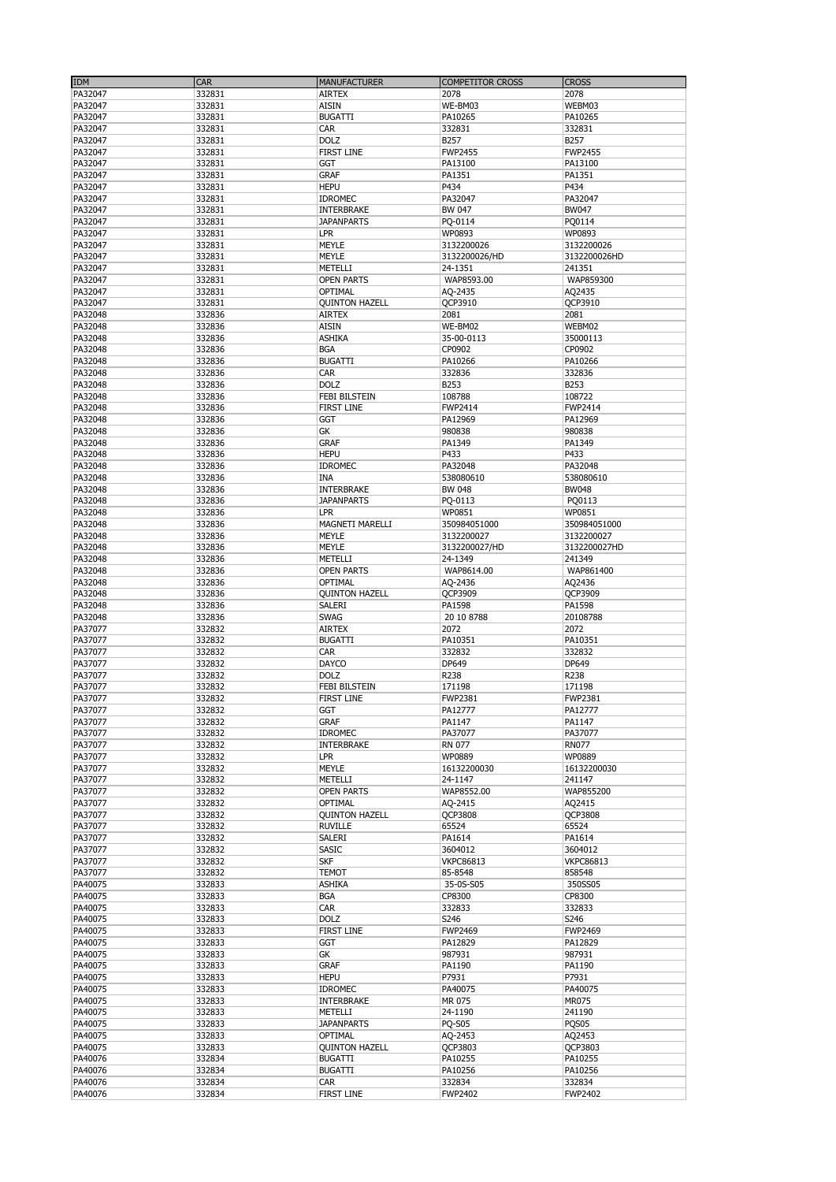| <b>IDM</b> | <b>CAR</b> | <b>MANUFACTURER</b>    | <b>COMPETITOR CROSS</b> | <b>CROSS</b>     |
|------------|------------|------------------------|-------------------------|------------------|
| PA32047    | 332831     | <b>AIRTEX</b>          | 2078                    | 2078             |
| PA32047    | 332831     | <b>AISIN</b>           | WE-BM03                 | WEBM03           |
| PA32047    | 332831     | <b>BUGATTI</b>         | PA10265                 | PA10265          |
| PA32047    | 332831     | CAR                    | 332831                  | 332831           |
|            |            |                        |                         |                  |
| PA32047    | 332831     | <b>DOLZ</b>            | B257                    | B257             |
| PA32047    | 332831     | <b>FIRST LINE</b>      | <b>FWP2455</b>          | <b>FWP2455</b>   |
| PA32047    | 332831     | GGT                    | PA13100                 | PA13100          |
| PA32047    | 332831     | <b>GRAF</b>            | PA1351                  | PA1351           |
| PA32047    | 332831     | <b>HEPU</b>            | P434                    | P434             |
| PA32047    | 332831     | <b>IDROMEC</b>         | PA32047                 | PA32047          |
| PA32047    | 332831     | <b>INTERBRAKE</b>      | BW 047                  | BW047            |
| PA32047    | 332831     | <b>JAPANPARTS</b>      | PQ-0114                 | PQ0114           |
| PA32047    | 332831     | <b>LPR</b>             | WP0893                  | WP0893           |
| PA32047    | 332831     | <b>MEYLE</b>           | 3132200026              | 3132200026       |
| PA32047    | 332831     | <b>MEYLE</b>           | 3132200026/HD           | 3132200026HD     |
| PA32047    | 332831     | METELLI                | 24-1351                 | 241351           |
|            |            |                        |                         |                  |
| PA32047    | 332831     | <b>OPEN PARTS</b>      | WAP8593.00              | WAP859300        |
| PA32047    | 332831     | OPTIMAL                | AQ-2435                 | AQ2435           |
| PA32047    | 332831     | <b>QUINTON HAZELL</b>  | QCP3910                 | QCP3910          |
| PA32048    | 332836     | <b>AIRTEX</b>          | 2081                    | 2081             |
| PA32048    | 332836     | <b>AISIN</b>           | WE-BM02                 | WEBM02           |
| PA32048    | 332836     | <b>ASHIKA</b>          | 35-00-0113              | 35000113         |
| PA32048    | 332836     | <b>BGA</b>             | CP0902                  | CP0902           |
| PA32048    | 332836     | <b>BUGATTI</b>         | PA10266                 | PA10266          |
| PA32048    | 332836     | CAR                    | 332836                  | 332836           |
| PA32048    | 332836     | <b>DOLZ</b>            | B253                    | B253             |
| PA32048    | 332836     | <b>FEBI BILSTEIN</b>   | 108788                  | 108722           |
|            |            |                        |                         |                  |
| PA32048    | 332836     | <b>FIRST LINE</b>      | <b>FWP2414</b>          | FWP2414          |
| PA32048    | 332836     | GGT                    | PA12969                 | PA12969          |
| PA32048    | 332836     | GK                     | 980838                  | 980838           |
| PA32048    | 332836     | <b>GRAF</b>            | PA1349                  | PA1349           |
| PA32048    | 332836     | <b>HEPU</b>            | P433                    | P433             |
| PA32048    | 332836     | <b>IDROMEC</b>         | PA32048                 | PA32048          |
| PA32048    | 332836     | <b>INA</b>             | 538080610               | 538080610        |
| PA32048    | 332836     | <b>INTERBRAKE</b>      | <b>BW 048</b>           | <b>BW048</b>     |
| PA32048    | 332836     | <b>JAPANPARTS</b>      | PQ-0113                 | PQ0113           |
| PA32048    | 332836     | <b>LPR</b>             | WP0851                  | WP0851           |
|            |            |                        |                         |                  |
| PA32048    | 332836     | <b>MAGNETI MARELLI</b> | 350984051000            | 350984051000     |
| PA32048    | 332836     | <b>MEYLE</b>           | 3132200027              | 3132200027       |
| PA32048    | 332836     | <b>MEYLE</b>           | 3132200027/HD           | 3132200027HD     |
| PA32048    | 332836     | METELLI                | 24-1349                 | 241349           |
| PA32048    | 332836     | <b>OPEN PARTS</b>      | WAP8614.00              | WAP861400        |
| PA32048    | 332836     | OPTIMAL                | AQ-2436                 | AQ2436           |
| PA32048    | 332836     | <b>QUINTON HAZELL</b>  | QCP3909                 | QCP3909          |
| PA32048    | 332836     | SALERI                 | PA1598                  | PA1598           |
| PA32048    | 332836     | <b>SWAG</b>            | 20 10 8788              | 20108788         |
| PA37077    | 332832     | <b>AIRTEX</b>          | 2072                    | 2072             |
|            | 332832     | <b>BUGATTI</b>         | PA10351                 | PA10351          |
| PA37077    |            |                        |                         |                  |
| PA37077    | 332832     | CAR                    | 332832                  | 332832           |
| PA37077    | 332832     | <b>DAYCO</b>           | DP649                   | DP649            |
| PA37077    | 332832     | <b>DOLZ</b>            | R238                    | R238             |
| PA37077    | 332832     | <b>FEBI BILSTEIN</b>   | 171198                  | 171198           |
| PA37077    | 332832     | FIRST LINE             | FWP2381                 | FWP2381          |
| PA37077    | 332832     | GGT                    | PA12777                 | PA12777          |
| PA37077    | 332832     | <b>GRAF</b>            | PA1147                  | PA1147           |
| PA37077    | 332832     | <b>IDROMEC</b>         | PA37077                 | PA37077          |
| PA37077    | 332832     | <b>INTERBRAKE</b>      | RN 077                  | <b>RN077</b>     |
| PA37077    | 332832     | <b>LPR</b>             | WP0889                  | WP0889           |
| PA37077    | 332832     | <b>MEYLE</b>           | 16132200030             | 16132200030      |
| PA37077    | 332832     | METELLI                | 24-1147                 | 241147           |
| PA37077    | 332832     | <b>OPEN PARTS</b>      | WAP8552.00              | WAP855200        |
|            |            |                        |                         |                  |
| PA37077    | 332832     | OPTIMAL                | AQ-2415                 | AQ2415           |
| PA37077    | 332832     | <b>QUINTON HAZELL</b>  | QCP3808                 | QCP3808          |
| PA37077    | 332832     | <b>RUVILLE</b>         | 65524                   | 65524            |
| PA37077    | 332832     | SALERI                 | PA1614                  | PA1614           |
| PA37077    | 332832     | <b>SASIC</b>           | 3604012                 | 3604012          |
| PA37077    | 332832     | <b>SKF</b>             | <b>VKPC86813</b>        | <b>VKPC86813</b> |
| PA37077    | 332832     | TEMOT                  | 85-8548                 | 858548           |
| PA40075    | 332833     | <b>ASHIKA</b>          | 35-0S-S05               | 350SS05          |
| PA40075    | 332833     | <b>BGA</b>             | CP8300                  | CP8300           |
| PA40075    | 332833     | CAR                    | 332833                  | 332833           |
| PA40075    | 332833     | <b>DOLZ</b>            | S246                    | S246             |
| PA40075    | 332833     | <b>FIRST LINE</b>      | <b>FWP2469</b>          | <b>FWP2469</b>   |
| PA40075    | 332833     | <b>GGT</b>             | PA12829                 | PA12829          |
| PA40075    | 332833     | GK                     | 987931                  | 987931           |
| PA40075    |            |                        |                         | PA1190           |
|            | 332833     | <b>GRAF</b>            | PA1190                  |                  |
| PA40075    | 332833     | <b>HEPU</b>            | P7931                   | P7931            |
| PA40075    | 332833     | <b>IDROMEC</b>         | PA40075                 | PA40075          |
| PA40075    | 332833     | <b>INTERBRAKE</b>      | MR 075                  | MR075            |
| PA40075    | 332833     | METELLI                | 24-1190                 | 241190           |
| PA40075    | 332833     | <b>JAPANPARTS</b>      | <b>PQ-S05</b>           | PQS05            |
| PA40075    | 332833     | OPTIMAL                | AQ-2453                 | AQ2453           |
| PA40075    | 332833     | <b>QUINTON HAZELL</b>  | QCP3803                 | QCP3803          |
| PA40076    | 332834     | <b>BUGATTI</b>         | PA10255                 | PA10255          |
| PA40076    | 332834     | <b>BUGATTI</b>         | PA10256                 | PA10256          |
| PA40076    | 332834     | CAR                    | 332834                  | 332834           |
| PA40076    | 332834     | <b>FIRST LINE</b>      | FWP2402                 | <b>FWP2402</b>   |
|            |            |                        |                         |                  |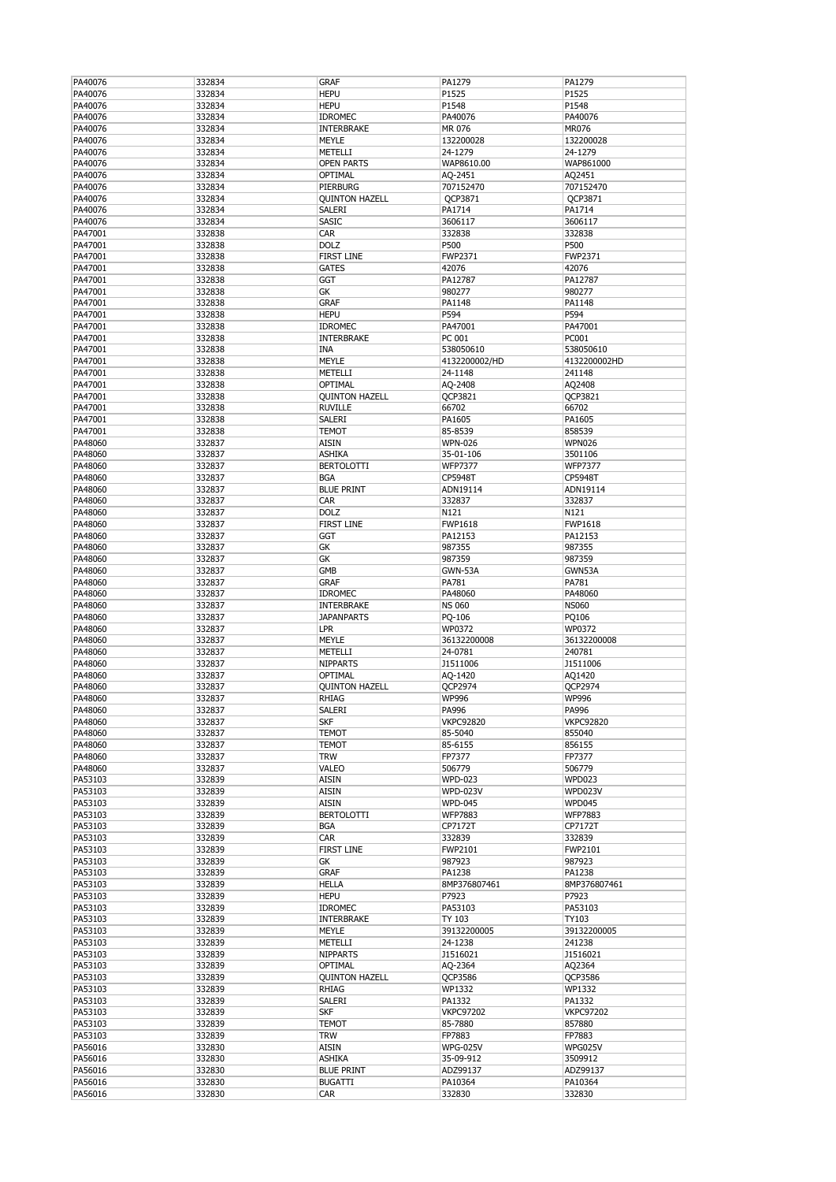| PA40076            | 332834           | <b>GRAF</b>                  | PA1279            | PA1279            |
|--------------------|------------------|------------------------------|-------------------|-------------------|
| PA40076            | 332834           | <b>HEPU</b>                  | P1525             | P1525             |
| PA40076            | 332834           | <b>HEPU</b>                  | P1548             | P1548             |
| PA40076            | 332834           | <b>IDROMEC</b>               | PA40076           | PA40076           |
| PA40076            | 332834           | <b>INTERBRAKE</b>            | MR 076            | <b>MR076</b>      |
| PA40076            | 332834           | <b>MEYLE</b>                 | 132200028         | 132200028         |
| PA40076            | 332834           | METELLI                      | 24-1279           | 24-1279           |
|                    |                  |                              |                   |                   |
| PA40076            | 332834           | <b>OPEN PARTS</b>            | WAP8610.00        | WAP861000         |
| PA40076            | 332834           | <b>OPTIMAL</b>               | AQ-2451           | AQ2451            |
| PA40076            | 332834           | PIERBURG                     | 707152470         | 707152470         |
| PA40076            | 332834           | <b>QUINTON HAZELL</b>        | QCP3871           | QCP3871           |
| PA40076            | 332834           | <b>SALERI</b>                | PA1714            | PA1714            |
| PA40076            | 332834           | <b>SASIC</b>                 | 3606117           | 3606117           |
| PA47001            | 332838           | <b>CAR</b>                   | 332838            | 332838            |
| PA47001            | 332838           | <b>DOLZ</b>                  | P500              | P500              |
| PA47001            | 332838           | <b>FIRST LINE</b>            | FWP2371           | FWP2371           |
| PA47001            | 332838           | <b>GATES</b>                 | 42076             | 42076             |
| PA47001            | 332838           | <b>GGT</b>                   | PA12787           | PA12787           |
| PA47001            | 332838           | GK                           | 980277            | 980277            |
| PA47001            | 332838           | <b>GRAF</b>                  | PA1148            | PA1148            |
| PA47001            | 332838           | <b>HEPU</b>                  | P594              | P594              |
| PA47001            | 332838           | <b>IDROMEC</b>               | PA47001           | PA47001           |
|                    | 332838           |                              |                   | PC001             |
| PA47001            |                  | <b>INTERBRAKE</b>            | PC 001            |                   |
| PA47001            | 332838           | <b>INA</b>                   | 538050610         | 538050610         |
| PA47001            | 332838           | <b>MEYLE</b>                 | 4132200002/HD     | 4132200002HD      |
| PA47001            | 332838           | METELLI                      | 24-1148           | 241148            |
| PA47001            | 332838           | <b>OPTIMAL</b>               | AQ-2408           | AQ2408            |
| PA47001            | 332838           | <b>QUINTON HAZELL</b>        | QCP3821           | QCP3821           |
| PA47001            | 332838           | <b>RUVILLE</b>               | 66702             | 66702             |
| PA47001            | 332838           | <b>SALERI</b>                | PA1605            | PA1605            |
| PA47001            | 332838           | <b>TEMOT</b>                 | 85-8539           | 858539            |
| PA48060            | 332837           | <b>AISIN</b>                 | <b>WPN-026</b>    | <b>WPN026</b>     |
| PA48060            | 332837           | <b>ASHIKA</b>                | 35-01-106         | 3501106           |
| PA48060            | 332837           | <b>BERTOLOTTI</b>            | <b>WFP7377</b>    | <b>WFP7377</b>    |
| PA48060            | 332837           | <b>BGA</b>                   | CP5948T           | CP5948T           |
| PA48060            | 332837           | <b>BLUE PRINT</b>            | ADN19114          | ADN19114          |
| PA48060            | 332837           | CAR                          | 332837            | 332837            |
| PA48060            | 332837           | <b>DOLZ</b>                  | N121              | N121              |
| PA48060            | 332837           | <b>FIRST LINE</b>            | <b>FWP1618</b>    | <b>FWP1618</b>    |
| PA48060            | 332837           | <b>GGT</b>                   | PA12153           | PA12153           |
| PA48060            | 332837           | GK                           | 987355            | 987355            |
| PA48060            | 332837           | GK                           | 987359            | 987359            |
| PA48060            | 332837           | <b>GMB</b>                   | GWN-53A           | GWN53A            |
| PA48060            | 332837           | <b>GRAF</b>                  | PA781             | PA781             |
| PA48060            | 332837           | <b>IDROMEC</b>               | PA48060           | PA48060           |
| PA48060            | 332837           | <b>INTERBRAKE</b>            | <b>NS 060</b>     | <b>NS060</b>      |
| PA48060            | 332837           | <b>JAPANPARTS</b>            | PQ-106            | PQ106             |
| PA48060            | 332837           | <b>LPR</b>                   | WP0372            | WP0372            |
| PA48060            | 332837           | <b>MEYLE</b>                 | 36132200008       | 36132200008       |
| PA48060            | 332837           | METELLI                      | 24-0781           | 240781            |
| PA48060            | 332837           | <b>NIPPARTS</b>              |                   | J1511006          |
| PA48060            | 332837           | OPTIMAL                      | J1511006          | AQ1420            |
| PA48060            |                  |                              | AQ-1420           |                   |
|                    | 332837           | <b>QUINTON HAZELL</b>        | QCP2974           | QCP2974           |
| PA48060            | 332837           | <b>RHIAG</b>                 | <b>WP996</b>      | <b>WP996</b>      |
| PA48060            | 332837           | SALERI                       | PA996             | PA996             |
| PA48060            | 332837           | <b>SKF</b>                   | <b>VKPC92820</b>  | <b>VKPC92820</b>  |
| PA48060            | 332837           | <b>TEMOT</b>                 | 85-5040           | 855040            |
| PA48060            | 332837           | <b>TEMOT</b>                 | 85-6155           | 856155            |
| PA48060            | 332837           | <b>TRW</b>                   | FP7377            | FP7377            |
| PA48060            | 332837           | <b>VALEO</b>                 | 506779            | 506779            |
| PA53103            | 332839           | <b>AISIN</b>                 | <b>WPD-023</b>    | <b>WPD023</b>     |
| PA53103            | 332839           | <b>AISIN</b>                 | <b>WPD-023V</b>   | WPD023V           |
| PA53103            | 332839           | <b>AISIN</b>                 | <b>WPD-045</b>    | <b>WPD045</b>     |
| PA53103            | 332839           | <b>BERTOLOTTI</b>            | <b>WFP7883</b>    | <b>WFP7883</b>    |
| PA53103            | 332839           | <b>BGA</b>                   | CP7172T           | CP7172T           |
| PA53103            | 332839           | <b>CAR</b>                   | 332839            | 332839            |
| PA53103            | 332839           | <b>FIRST LINE</b>            | FWP2101           | FWP2101           |
| PA53103            | 332839           | GK                           | 987923            | 987923            |
| PA53103            | 332839           | <b>GRAF</b>                  | PA1238            | PA1238            |
| PA53103            | 332839           | <b>HELLA</b>                 | 8MP376807461      | 8MP376807461      |
| PA53103            | 332839           | <b>HEPU</b>                  | P7923             | P7923             |
| PA53103            | 332839           | <b>IDROMEC</b>               | PA53103           | PA53103           |
| PA53103            | 332839           | INTERBRAKE                   | TY 103            | TY103             |
| PA53103            | 332839           | <b>MEYLE</b>                 | 39132200005       | 39132200005       |
| PA53103            | 332839           | METELLI                      | 24-1238           | 241238            |
| PA53103            | 332839           | <b>NIPPARTS</b>              | J1516021          | J1516021          |
| PA53103            | 332839           | OPTIMAL                      | AQ-2364           | AQ2364            |
| PA53103            | 332839           | <b>OUINTON HAZELL</b>        | QCP3586           | QCP3586           |
| PA53103            | 332839           | <b>RHIAG</b>                 | WP1332            | WP1332            |
| PA53103            | 332839           | SALERI                       | PA1332            | PA1332            |
| PA53103            | 332839           | <b>SKF</b>                   | <b>VKPC97202</b>  | <b>VKPC97202</b>  |
| PA53103            |                  |                              | 85-7880           | 857880            |
|                    | 332839           | <b>TEMOT</b>                 |                   |                   |
| PA53103            | 332839           | <b>TRW</b>                   | FP7883            | FP7883            |
| PA56016            | 332830           | <b>AISIN</b>                 | <b>WPG-025V</b>   | WPG025V           |
| PA56016            | 332830           | <b>ASHIKA</b>                | 35-09-912         | 3509912           |
|                    |                  | <b>BLUE PRINT</b>            |                   |                   |
| PA56016            | 332830           |                              | ADZ99137          | ADZ99137          |
| PA56016<br>PA56016 | 332830<br>332830 | <b>BUGATTI</b><br><b>CAR</b> | PA10364<br>332830 | PA10364<br>332830 |